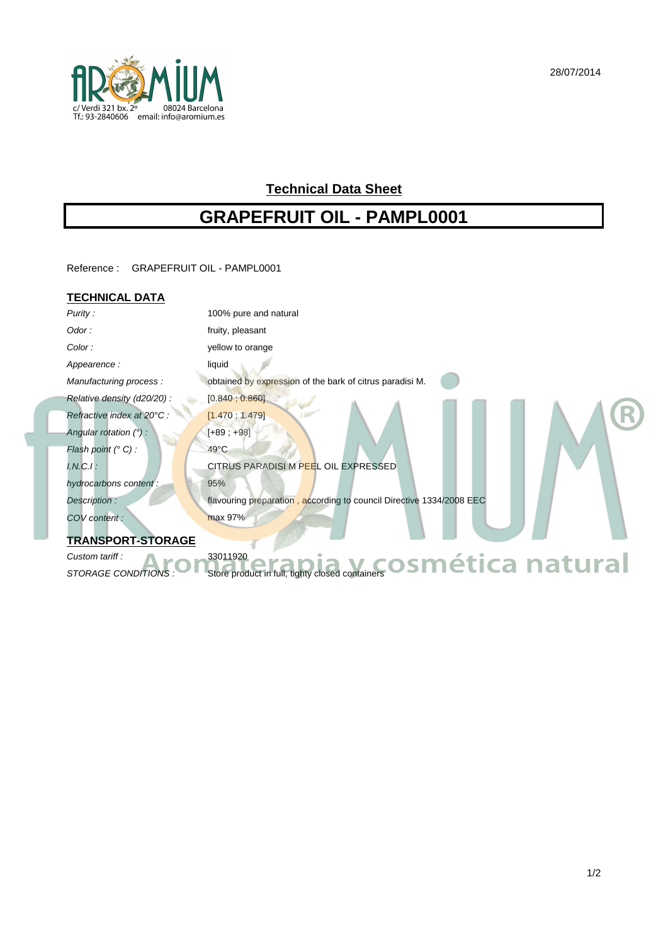

# **Technical Data Sheet**

# **GRAPEFRUIT OIL - PAMPL0001**

Reference : GRAPEFRUIT OIL - PAMPL0001

### **TECHNICAL DATA**

| Purity:                    | 100% pure and natural                                                |
|----------------------------|----------------------------------------------------------------------|
| Odor:                      | fruity, pleasant                                                     |
| Color:                     | yellow to orange                                                     |
| Appearence:                | liquid                                                               |
| Manufacturing process:     | obtained by expression of the bark of citrus paradisi M.             |
| Relative density (d20/20): | [0.840; 0.860]                                                       |
| Refractive index at 20°C : | [1.470, 1.479]                                                       |
| Angular rotation $(°)$ :   | $[+89; +98]$                                                         |
| Flash point (° C) :        | $49^{\circ}$ C                                                       |
| $I.N.C.I$ :                | CITRUS PARADISI M PEEL OIL EXPRESSED                                 |
| hydrocarbons content:      | 95%                                                                  |
| Description:               | flavouring preparation, according to council Directive 1334/2008 EEC |
| COV content:               | max 97%                                                              |
| <b>TRANSPORT-STORAGE</b>   |                                                                      |
| Custom tariff:             | 33011920<br><u>v cosmética natural</u>                               |
| STORAGE CONDITIONS         | Store product in full, tighty closed containers                      |